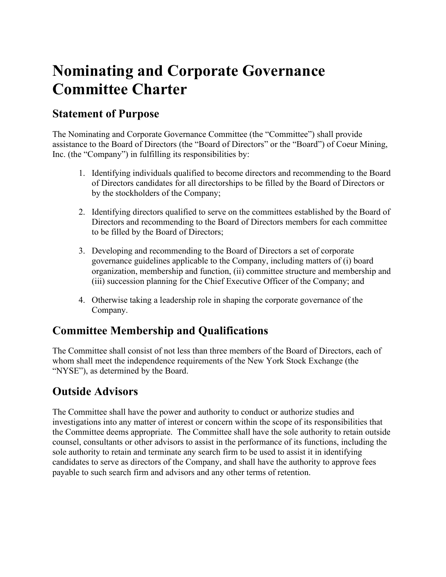# **Nominating and Corporate Governance Committee Charter**

### **Statement of Purpose**

The Nominating and Corporate Governance Committee (the "Committee") shall provide assistance to the Board of Directors (the "Board of Directors" or the "Board") of Coeur Mining, Inc. (the "Company") in fulfilling its responsibilities by:

- 1. Identifying individuals qualified to become directors and recommending to the Board of Directors candidates for all directorships to be filled by the Board of Directors or by the stockholders of the Company;
- 2. Identifying directors qualified to serve on the committees established by the Board of Directors and recommending to the Board of Directors members for each committee to be filled by the Board of Directors;
- 3. Developing and recommending to the Board of Directors a set of corporate governance guidelines applicable to the Company, including matters of (i) board organization, membership and function, (ii) committee structure and membership and (iii) succession planning for the Chief Executive Officer of the Company; and
- 4. Otherwise taking a leadership role in shaping the corporate governance of the Company.

### **Committee Membership and Qualifications**

The Committee shall consist of not less than three members of the Board of Directors, each of whom shall meet the independence requirements of the New York Stock Exchange (the "NYSE"), as determined by the Board.

### **Outside Advisors**

The Committee shall have the power and authority to conduct or authorize studies and investigations into any matter of interest or concern within the scope of its responsibilities that the Committee deems appropriate. The Committee shall have the sole authority to retain outside counsel, consultants or other advisors to assist in the performance of its functions, including the sole authority to retain and terminate any search firm to be used to assist it in identifying candidates to serve as directors of the Company, and shall have the authority to approve fees payable to such search firm and advisors and any other terms of retention.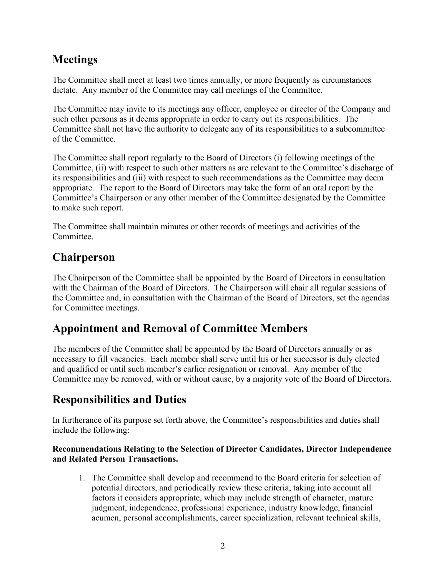# **Meetings**

The Committee shall meet at least two times annually, or more frequently as circumstances dictate. Any member of the Committee may call meetings of the Committee.

The Committee may invite to its meetings any officer, employee or director of the Company and such other persons as it deems appropriate in order to carry out its responsibilities. The Committee shall not have the authority to delegate any of its responsibilities to a subcommittee of the Committee.

The Committee shall report regularly to the Board of Directors (i) following meetings of the Committee, (ii) with respect to such other matters as are relevant to the Committee's discharge of its responsibilities and (iii) with respect to such recommendations as the Committee may deem appropriate. The report to the Board of Directors may take the form of an oral report by the Committee's Chairperson or any other member of the Committee designated by the Committee to make such report.

The Committee shall maintain minutes or other records of meetings and activities of the Committee.

### **Chairperson**

The Chairperson of the Committee shall be appointed by the Board of Directors in consultation with the Chairman of the Board of Directors. The Chairperson will chair all regular sessions of the Committee and, in consultation with the Chairman of the Board of Directors, set the agendas for Committee meetings.

# **Appointment and Removal of Committee Members**

The members of the Committee shall be appointed by the Board of Directors annually or as necessary to fill vacancies. Each member shall serve until his or her successor is duly elected and qualified or until such member's earlier resignation or removal. Any member of the Committee may be removed, with or without cause, by a majority vote of the Board of Directors.

# **Responsibilities and Duties**

In furtherance of its purpose set forth above, the Committee's responsibilities and duties shall include the following:

#### **Recommendations Relating to the Selection of Director Candidates, Director Independence and Related Person Transactions.**

1. The Committee shall develop and recommend to the Board criteria for selection of potential directors, and periodically review these criteria, taking into account all factors it considers appropriate, which may include strength of character, mature judgment, independence, professional experience, industry knowledge, financial acumen, personal accomplishments, career specialization, relevant technical skills,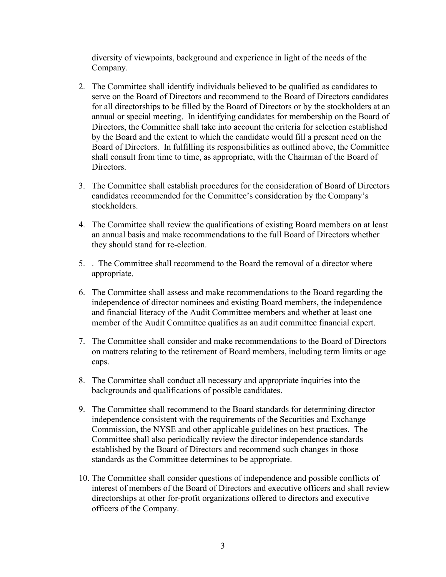diversity of viewpoints, background and experience in light of the needs of the Company.

- 2. The Committee shall identify individuals believed to be qualified as candidates to serve on the Board of Directors and recommend to the Board of Directors candidates for all directorships to be filled by the Board of Directors or by the stockholders at an annual or special meeting. In identifying candidates for membership on the Board of Directors, the Committee shall take into account the criteria for selection established by the Board and the extent to which the candidate would fill a present need on the Board of Directors. In fulfilling its responsibilities as outlined above, the Committee shall consult from time to time, as appropriate, with the Chairman of the Board of Directors.
- 3. The Committee shall establish procedures for the consideration of Board of Directors candidates recommended for the Committee's consideration by the Company's stockholders.
- 4. The Committee shall review the qualifications of existing Board members on at least an annual basis and make recommendations to the full Board of Directors whether they should stand for re-election.
- 5. . The Committee shall recommend to the Board the removal of a director where appropriate.
- 6. The Committee shall assess and make recommendations to the Board regarding the independence of director nominees and existing Board members, the independence and financial literacy of the Audit Committee members and whether at least one member of the Audit Committee qualifies as an audit committee financial expert.
- 7. The Committee shall consider and make recommendations to the Board of Directors on matters relating to the retirement of Board members, including term limits or age caps.
- 8. The Committee shall conduct all necessary and appropriate inquiries into the backgrounds and qualifications of possible candidates.
- 9. The Committee shall recommend to the Board standards for determining director independence consistent with the requirements of the Securities and Exchange Commission, the NYSE and other applicable guidelines on best practices. The Committee shall also periodically review the director independence standards established by the Board of Directors and recommend such changes in those standards as the Committee determines to be appropriate.
- 10. The Committee shall consider questions of independence and possible conflicts of interest of members of the Board of Directors and executive officers and shall review directorships at other for-profit organizations offered to directors and executive officers of the Company.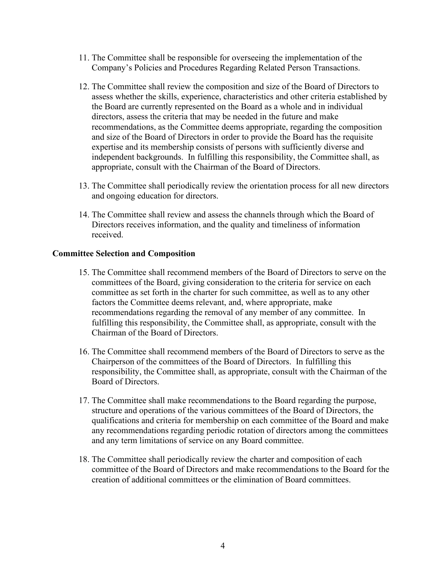- 11. The Committee shall be responsible for overseeing the implementation of the Company's Policies and Procedures Regarding Related Person Transactions.
- 12. The Committee shall review the composition and size of the Board of Directors to assess whether the skills, experience, characteristics and other criteria established by the Board are currently represented on the Board as a whole and in individual directors, assess the criteria that may be needed in the future and make recommendations, as the Committee deems appropriate, regarding the composition and size of the Board of Directors in order to provide the Board has the requisite expertise and its membership consists of persons with sufficiently diverse and independent backgrounds. In fulfilling this responsibility, the Committee shall, as appropriate, consult with the Chairman of the Board of Directors.
- 13. The Committee shall periodically review the orientation process for all new directors and ongoing education for directors.
- 14. The Committee shall review and assess the channels through which the Board of Directors receives information, and the quality and timeliness of information received.

#### **Committee Selection and Composition**

- 15. The Committee shall recommend members of the Board of Directors to serve on the committees of the Board, giving consideration to the criteria for service on each committee as set forth in the charter for such committee, as well as to any other factors the Committee deems relevant, and, where appropriate, make recommendations regarding the removal of any member of any committee. In fulfilling this responsibility, the Committee shall, as appropriate, consult with the Chairman of the Board of Directors.
- 16. The Committee shall recommend members of the Board of Directors to serve as the Chairperson of the committees of the Board of Directors. In fulfilling this responsibility, the Committee shall, as appropriate, consult with the Chairman of the Board of Directors.
- 17. The Committee shall make recommendations to the Board regarding the purpose, structure and operations of the various committees of the Board of Directors, the qualifications and criteria for membership on each committee of the Board and make any recommendations regarding periodic rotation of directors among the committees and any term limitations of service on any Board committee.
- 18. The Committee shall periodically review the charter and composition of each committee of the Board of Directors and make recommendations to the Board for the creation of additional committees or the elimination of Board committees.